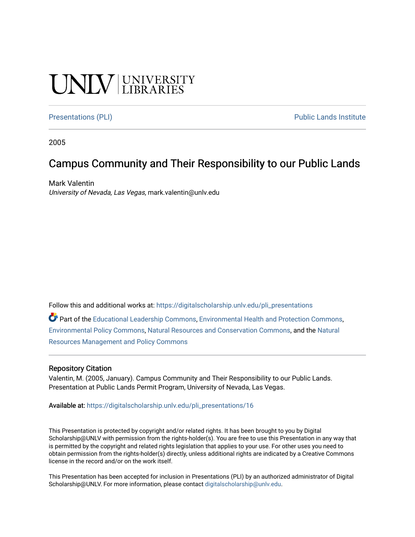### **CINITY** UNIVERSITY

[Presentations \(PLI\)](https://digitalscholarship.unlv.edu/pli_presentations) Presentations (PLI) Public Lands Institute

2005

### Campus Community and Their Responsibility to our Public Lands

Mark Valentin University of Nevada, Las Vegas, mark.valentin@unlv.edu

Follow this and additional works at: [https://digitalscholarship.unlv.edu/pli\\_presentations](https://digitalscholarship.unlv.edu/pli_presentations?utm_source=digitalscholarship.unlv.edu%2Fpli_presentations%2F16&utm_medium=PDF&utm_campaign=PDFCoverPages) 

Part of the [Educational Leadership Commons,](http://network.bepress.com/hgg/discipline/1230?utm_source=digitalscholarship.unlv.edu%2Fpli_presentations%2F16&utm_medium=PDF&utm_campaign=PDFCoverPages) [Environmental Health and Protection Commons](http://network.bepress.com/hgg/discipline/172?utm_source=digitalscholarship.unlv.edu%2Fpli_presentations%2F16&utm_medium=PDF&utm_campaign=PDFCoverPages), [Environmental Policy Commons,](http://network.bepress.com/hgg/discipline/1027?utm_source=digitalscholarship.unlv.edu%2Fpli_presentations%2F16&utm_medium=PDF&utm_campaign=PDFCoverPages) [Natural Resources and Conservation Commons,](http://network.bepress.com/hgg/discipline/168?utm_source=digitalscholarship.unlv.edu%2Fpli_presentations%2F16&utm_medium=PDF&utm_campaign=PDFCoverPages) and the [Natural](http://network.bepress.com/hgg/discipline/170?utm_source=digitalscholarship.unlv.edu%2Fpli_presentations%2F16&utm_medium=PDF&utm_campaign=PDFCoverPages) [Resources Management and Policy Commons](http://network.bepress.com/hgg/discipline/170?utm_source=digitalscholarship.unlv.edu%2Fpli_presentations%2F16&utm_medium=PDF&utm_campaign=PDFCoverPages)

### Repository Citation

Valentin, M. (2005, January). Campus Community and Their Responsibility to our Public Lands. Presentation at Public Lands Permit Program, University of Nevada, Las Vegas.

Available at: [https://digitalscholarship.unlv.edu/pli\\_presentations/16](https://digitalscholarship.unlv.edu/pli_presentations/16)

This Presentation is protected by copyright and/or related rights. It has been brought to you by Digital Scholarship@UNLV with permission from the rights-holder(s). You are free to use this Presentation in any way that is permitted by the copyright and related rights legislation that applies to your use. For other uses you need to obtain permission from the rights-holder(s) directly, unless additional rights are indicated by a Creative Commons license in the record and/or on the work itself.

This Presentation has been accepted for inclusion in Presentations (PLI) by an authorized administrator of Digital Scholarship@UNLV. For more information, please contact [digitalscholarship@unlv.edu.](mailto:digitalscholarship@unlv.edu)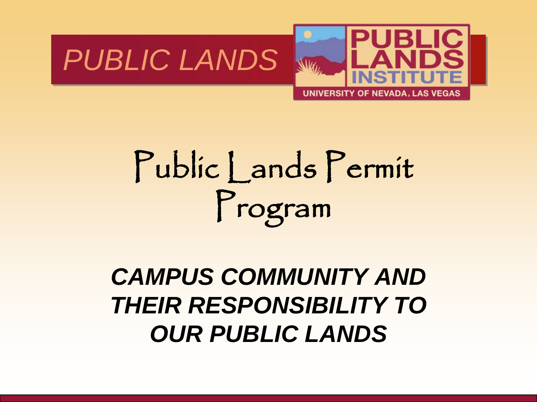



## Public Lands Permit Program

### *CAMPUS COMMUNITY AND THEIR RESPONSIBILITY TO OUR PUBLIC LANDS*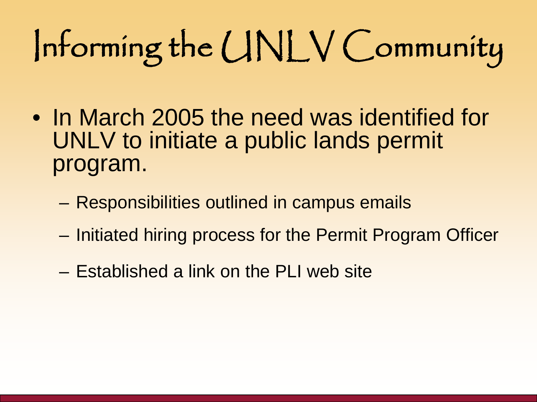# Informing the UNLV Community

- In March 2005 the need was identified for UNLV to initiate a public lands permit program.
	- Responsibilities outlined in campus emails
	- Initiated hiring process for the Permit Program Officer
	- Established a link on the PLI web site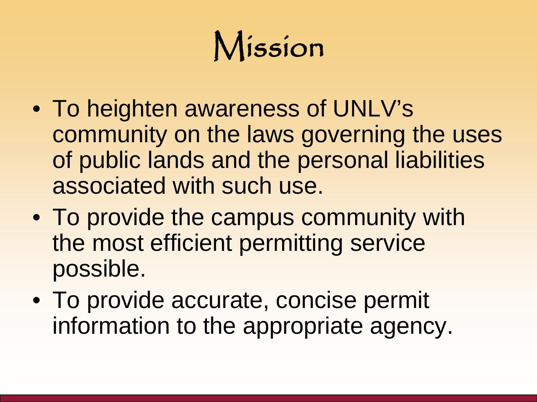### Mission

- To heighten awareness of UNLV's community on the laws governing the uses of public lands and the personal liabilities associated with such use.
- To provide the campus community with the most efficient permitting service possible.
- To provide accurate, concise permit information to the appropriate agency.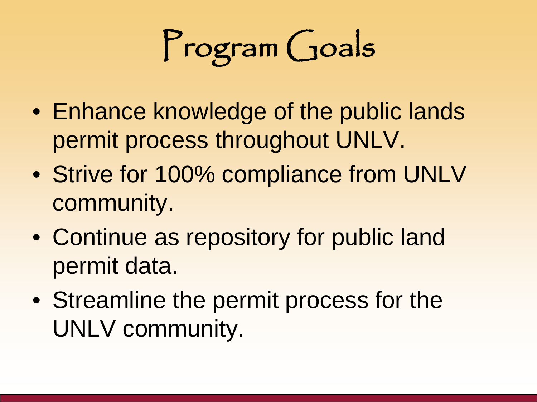# Program Goals

- Enhance knowledge of the public lands permit process throughout UNLV.
- Strive for 100% compliance from UNLV community.
- Continue as repository for public land permit data.
- Streamline the permit process for the UNLV community.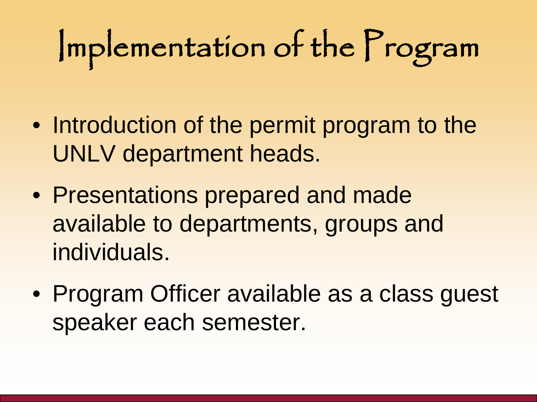# Implementation of the Program

- Introduction of the permit program to the UNLV department heads.
- Presentations prepared and made available to departments, groups and individuals.
- Program Officer available as a class guest speaker each semester.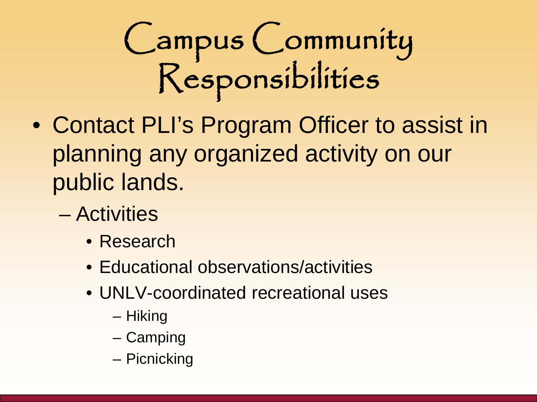## Campus Community Responsibilities

- Contact PLI's Program Officer to assist in planning any organized activity on our public lands.
	- Activities
		- Research
		- Educational observations/activities
		- UNLV-coordinated recreational uses
			- Hiking
			- Camping
			- Picnicking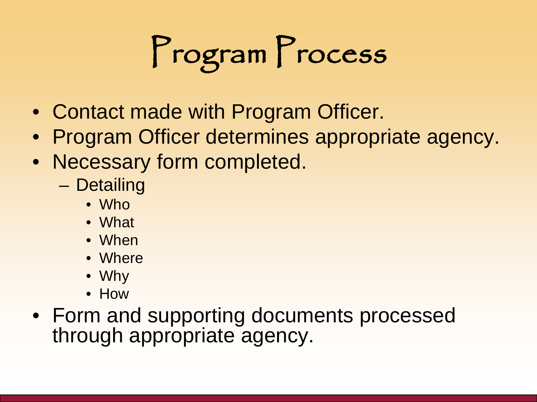# Program Process

- Contact made with Program Officer.
- Program Officer determines appropriate agency.
- Necessary form completed.
	- Detailing
		- Who
		- What
		- When
		- Where
		- Why
		- How
- Form and supporting documents processed through appropriate agency.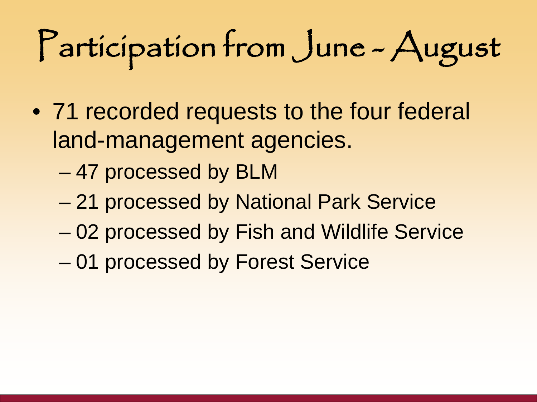# Participation from June - August

- 71 recorded requests to the four federal land-management agencies.
	- 47 processed by BLM
	- 21 processed by National Park Service
	- 02 processed by Fish and Wildlife Service
	- 01 processed by Forest Service